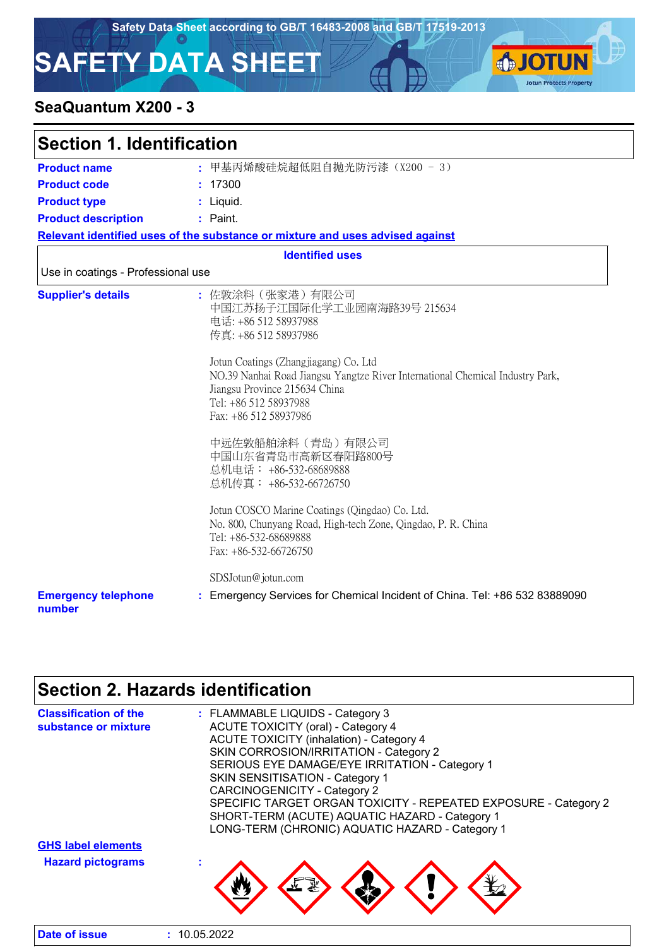**SJOTUN** 

**Jotun Protects Property** 

# **SAFETY DATA SHEET**

### **SeaQuantum X200 - 3**

| <b>Section 1. Identification</b>     |                                                                                                                                                                                                                                                                                                             |  |
|--------------------------------------|-------------------------------------------------------------------------------------------------------------------------------------------------------------------------------------------------------------------------------------------------------------------------------------------------------------|--|
| <b>Product name</b>                  | : 甲基丙烯酸硅烷超低阻自抛光防污漆 (X200 - 3)                                                                                                                                                                                                                                                                               |  |
| <b>Product code</b>                  | : 17300                                                                                                                                                                                                                                                                                                     |  |
| <b>Product type</b>                  | : Liquid.                                                                                                                                                                                                                                                                                                   |  |
| <b>Product description</b>           | : Paint.                                                                                                                                                                                                                                                                                                    |  |
|                                      | Relevant identified uses of the substance or mixture and uses advised against                                                                                                                                                                                                                               |  |
|                                      | <b>Identified uses</b>                                                                                                                                                                                                                                                                                      |  |
| Use in coatings - Professional use   |                                                                                                                                                                                                                                                                                                             |  |
| <b>Supplier's details</b>            | : 佐敦涂料(张家港)有限公司<br>中国江苏扬子江国际化学工业园南海路39号 215634<br>电话: +86 512 58937988<br>传真: +86 512 58937986<br>Jotun Coatings (Zhangjiagang) Co. Ltd<br>NO.39 Nanhai Road Jiangsu Yangtze River International Chemical Industry Park,<br>Jiangsu Province 215634 China<br>Tel: +86 512 58937988<br>Fax: +86 512 58937986 |  |
|                                      | 中远佐敦船舶涂料(青岛)有限公司<br>中国山东省青岛市高新区春阳路800号<br>总机电话: +86-532-68689888<br>总机传真: +86-532-66726750                                                                                                                                                                                                                  |  |
|                                      | Jotun COSCO Marine Coatings (Qingdao) Co. Ltd.<br>No. 800, Chunyang Road, High-tech Zone, Qingdao, P. R. China<br>Tel: +86-532-68689888<br>Fax: +86-532-66726750                                                                                                                                            |  |
|                                      | SDSJotun@jotun.com                                                                                                                                                                                                                                                                                          |  |
| <b>Emergency telephone</b><br>number | : Emergency Services for Chemical Incident of China. Tel: +86 532 83889090                                                                                                                                                                                                                                  |  |

# **Section 2. Hazards identification**

| LONG-TERM (CHRONIC) AQUATIC HAZARD - Category 1<br><b>GHS label elements</b><br><b>Hazard pictograms</b> | <b>Classification of the</b><br>substance or mixture | : FLAMMABLE LIQUIDS - Category 3<br><b>ACUTE TOXICITY (oral) - Category 4</b><br><b>ACUTE TOXICITY (inhalation) - Category 4</b><br>SKIN CORROSION/IRRITATION - Category 2<br>SERIOUS EYE DAMAGE/EYE IRRITATION - Category 1<br><b>SKIN SENSITISATION - Category 1</b><br><b>CARCINOGENICITY - Category 2</b><br>SPECIFIC TARGET ORGAN TOXICITY - REPEATED EXPOSURE - Category 2 |
|----------------------------------------------------------------------------------------------------------|------------------------------------------------------|----------------------------------------------------------------------------------------------------------------------------------------------------------------------------------------------------------------------------------------------------------------------------------------------------------------------------------------------------------------------------------|
|                                                                                                          |                                                      | SHORT-TERM (ACUTE) AQUATIC HAZARD - Category 1                                                                                                                                                                                                                                                                                                                                   |
| Date of issue<br>10.05.2022                                                                              |                                                      |                                                                                                                                                                                                                                                                                                                                                                                  |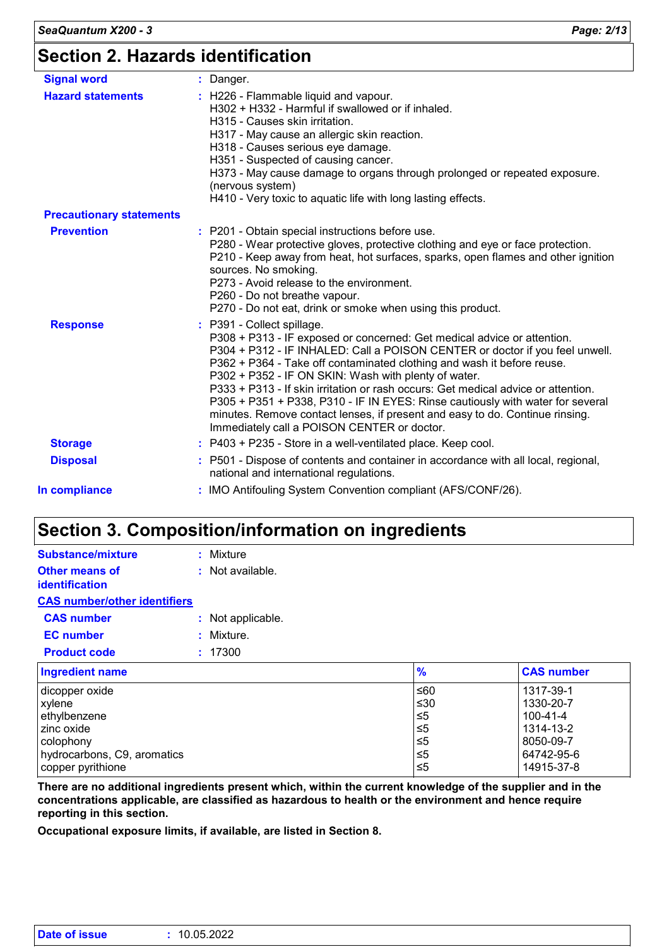| <b>Signal word</b>              | : Danger.                                                                                                                                                                                                                                                                                                                                                                                                                                                                                                                                                                                                                     |
|---------------------------------|-------------------------------------------------------------------------------------------------------------------------------------------------------------------------------------------------------------------------------------------------------------------------------------------------------------------------------------------------------------------------------------------------------------------------------------------------------------------------------------------------------------------------------------------------------------------------------------------------------------------------------|
| <b>Hazard statements</b>        | : H226 - Flammable liquid and vapour.<br>H302 + H332 - Harmful if swallowed or if inhaled.<br>H315 - Causes skin irritation.<br>H317 - May cause an allergic skin reaction.<br>H318 - Causes serious eye damage.<br>H351 - Suspected of causing cancer.<br>H373 - May cause damage to organs through prolonged or repeated exposure.<br>(nervous system)<br>H410 - Very toxic to aquatic life with long lasting effects.                                                                                                                                                                                                      |
| <b>Precautionary statements</b> |                                                                                                                                                                                                                                                                                                                                                                                                                                                                                                                                                                                                                               |
| <b>Prevention</b>               | : P201 - Obtain special instructions before use.<br>P280 - Wear protective gloves, protective clothing and eye or face protection.<br>P210 - Keep away from heat, hot surfaces, sparks, open flames and other ignition<br>sources. No smoking.<br>P273 - Avoid release to the environment.<br>P260 - Do not breathe vapour.<br>P270 - Do not eat, drink or smoke when using this product.                                                                                                                                                                                                                                     |
| <b>Response</b>                 | : P391 - Collect spillage.<br>P308 + P313 - IF exposed or concerned: Get medical advice or attention.<br>P304 + P312 - IF INHALED: Call a POISON CENTER or doctor if you feel unwell.<br>P362 + P364 - Take off contaminated clothing and wash it before reuse.<br>P302 + P352 - IF ON SKIN: Wash with plenty of water.<br>P333 + P313 - If skin irritation or rash occurs: Get medical advice or attention.<br>P305 + P351 + P338, P310 - IF IN EYES: Rinse cautiously with water for several<br>minutes. Remove contact lenses, if present and easy to do. Continue rinsing.<br>Immediately call a POISON CENTER or doctor. |
| <b>Storage</b>                  | : P403 + P235 - Store in a well-ventilated place. Keep cool.                                                                                                                                                                                                                                                                                                                                                                                                                                                                                                                                                                  |
| <b>Disposal</b>                 | : P501 - Dispose of contents and container in accordance with all local, regional,<br>national and international regulations.                                                                                                                                                                                                                                                                                                                                                                                                                                                                                                 |
| In compliance                   | : IMO Antifouling System Convention compliant (AFS/CONF/26).                                                                                                                                                                                                                                                                                                                                                                                                                                                                                                                                                                  |
|                                 |                                                                                                                                                                                                                                                                                                                                                                                                                                                                                                                                                                                                                               |

# **Section 3. Composition/information on ingredients**

| <b>Substance/mixture</b>                | : Mixture          |
|-----------------------------------------|--------------------|
| <b>Other means of</b><br>identification | $:$ Not available. |
| <b>CAS number/other identifiers</b>     |                    |
| <b>CAS number</b>                       | : Not applicable.  |
| <b>EC</b> number                        | : Mixture.         |
| <b>Product code</b>                     | : 17300            |
| Ingradiant nama                         |                    |

| Ingredient name             | $\frac{9}{6}$ | <b>CAS number</b> |
|-----------------------------|---------------|-------------------|
| dicopper oxide              | l≤60          | 1317-39-1         |
| xylene                      | ≤30           | 1330-20-7         |
| ethylbenzene                | $\leq 5$      | 100-41-4          |
| l zinc oxide                | ≤5            | 1314-13-2         |
| l colophonv                 | 5≤ا           | 8050-09-7         |
| hydrocarbons, C9, aromatics | ≤5            | 64742-95-6        |
| copper pyrithione           | ≤5            | 14915-37-8        |

**There are no additional ingredients present which, within the current knowledge of the supplier and in the concentrations applicable, are classified as hazardous to health or the environment and hence require reporting in this section.**

**Occupational exposure limits, if available, are listed in Section 8.**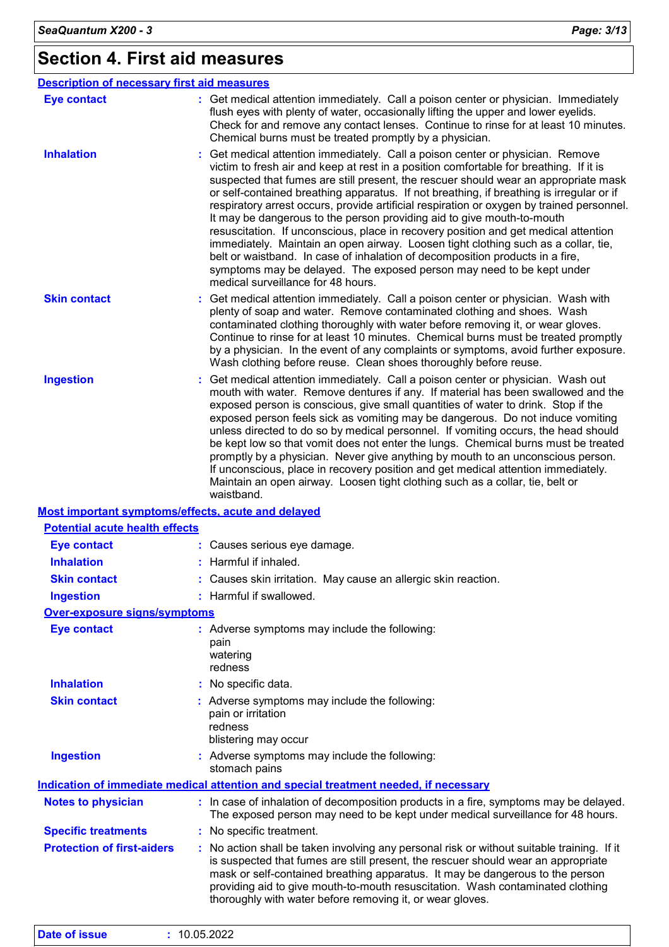# **Section 4. First aid measures**

| <b>Description of necessary first aid measures</b> |                                                                                                                                                                                                                                                                                                                                                                                                                                                                                                                                                                                                                                                                                                                                                                                                                                                                                                               |
|----------------------------------------------------|---------------------------------------------------------------------------------------------------------------------------------------------------------------------------------------------------------------------------------------------------------------------------------------------------------------------------------------------------------------------------------------------------------------------------------------------------------------------------------------------------------------------------------------------------------------------------------------------------------------------------------------------------------------------------------------------------------------------------------------------------------------------------------------------------------------------------------------------------------------------------------------------------------------|
| <b>Eye contact</b>                                 | : Get medical attention immediately. Call a poison center or physician. Immediately<br>flush eyes with plenty of water, occasionally lifting the upper and lower eyelids.<br>Check for and remove any contact lenses. Continue to rinse for at least 10 minutes.<br>Chemical burns must be treated promptly by a physician.                                                                                                                                                                                                                                                                                                                                                                                                                                                                                                                                                                                   |
| <b>Inhalation</b>                                  | Get medical attention immediately. Call a poison center or physician. Remove<br>victim to fresh air and keep at rest in a position comfortable for breathing. If it is<br>suspected that fumes are still present, the rescuer should wear an appropriate mask<br>or self-contained breathing apparatus. If not breathing, if breathing is irregular or if<br>respiratory arrest occurs, provide artificial respiration or oxygen by trained personnel.<br>It may be dangerous to the person providing aid to give mouth-to-mouth<br>resuscitation. If unconscious, place in recovery position and get medical attention<br>immediately. Maintain an open airway. Loosen tight clothing such as a collar, tie,<br>belt or waistband. In case of inhalation of decomposition products in a fire,<br>symptoms may be delayed. The exposed person may need to be kept under<br>medical surveillance for 48 hours. |
| <b>Skin contact</b>                                | : Get medical attention immediately. Call a poison center or physician. Wash with<br>plenty of soap and water. Remove contaminated clothing and shoes. Wash<br>contaminated clothing thoroughly with water before removing it, or wear gloves.<br>Continue to rinse for at least 10 minutes. Chemical burns must be treated promptly<br>by a physician. In the event of any complaints or symptoms, avoid further exposure.<br>Wash clothing before reuse. Clean shoes thoroughly before reuse.                                                                                                                                                                                                                                                                                                                                                                                                               |
| <b>Ingestion</b>                                   | Get medical attention immediately. Call a poison center or physician. Wash out<br>mouth with water. Remove dentures if any. If material has been swallowed and the<br>exposed person is conscious, give small quantities of water to drink. Stop if the<br>exposed person feels sick as vomiting may be dangerous. Do not induce vomiting<br>unless directed to do so by medical personnel. If vomiting occurs, the head should<br>be kept low so that vomit does not enter the lungs. Chemical burns must be treated<br>promptly by a physician. Never give anything by mouth to an unconscious person.<br>If unconscious, place in recovery position and get medical attention immediately.<br>Maintain an open airway. Loosen tight clothing such as a collar, tie, belt or<br>waistband.                                                                                                                  |
| Most important symptoms/effects, acute and delayed |                                                                                                                                                                                                                                                                                                                                                                                                                                                                                                                                                                                                                                                                                                                                                                                                                                                                                                               |
| <b>Potential acute health effects</b>              |                                                                                                                                                                                                                                                                                                                                                                                                                                                                                                                                                                                                                                                                                                                                                                                                                                                                                                               |
| <b>Eye contact</b>                                 | : Causes serious eye damage.                                                                                                                                                                                                                                                                                                                                                                                                                                                                                                                                                                                                                                                                                                                                                                                                                                                                                  |
| <b>Inhalation</b>                                  | : Harmful if inhaled.                                                                                                                                                                                                                                                                                                                                                                                                                                                                                                                                                                                                                                                                                                                                                                                                                                                                                         |
| <b>Skin contact</b>                                | : Causes skin irritation. May cause an allergic skin reaction.                                                                                                                                                                                                                                                                                                                                                                                                                                                                                                                                                                                                                                                                                                                                                                                                                                                |
| <b>Ingestion</b>                                   | : Harmful if swallowed.                                                                                                                                                                                                                                                                                                                                                                                                                                                                                                                                                                                                                                                                                                                                                                                                                                                                                       |
| <b>Over-exposure signs/symptoms</b>                |                                                                                                                                                                                                                                                                                                                                                                                                                                                                                                                                                                                                                                                                                                                                                                                                                                                                                                               |
| <b>Eye contact</b>                                 | : Adverse symptoms may include the following:<br>pain<br>watering<br>redness                                                                                                                                                                                                                                                                                                                                                                                                                                                                                                                                                                                                                                                                                                                                                                                                                                  |
| <b>Inhalation</b>                                  | : No specific data.                                                                                                                                                                                                                                                                                                                                                                                                                                                                                                                                                                                                                                                                                                                                                                                                                                                                                           |
| <b>Skin contact</b>                                | : Adverse symptoms may include the following:<br>pain or irritation<br>redness<br>blistering may occur                                                                                                                                                                                                                                                                                                                                                                                                                                                                                                                                                                                                                                                                                                                                                                                                        |
| <b>Ingestion</b>                                   | : Adverse symptoms may include the following:<br>stomach pains                                                                                                                                                                                                                                                                                                                                                                                                                                                                                                                                                                                                                                                                                                                                                                                                                                                |
|                                                    | Indication of immediate medical attention and special treatment needed, if necessary                                                                                                                                                                                                                                                                                                                                                                                                                                                                                                                                                                                                                                                                                                                                                                                                                          |
| <b>Notes to physician</b>                          | : In case of inhalation of decomposition products in a fire, symptoms may be delayed.<br>The exposed person may need to be kept under medical surveillance for 48 hours.                                                                                                                                                                                                                                                                                                                                                                                                                                                                                                                                                                                                                                                                                                                                      |
| <b>Specific treatments</b>                         | : No specific treatment.                                                                                                                                                                                                                                                                                                                                                                                                                                                                                                                                                                                                                                                                                                                                                                                                                                                                                      |
| <b>Protection of first-aiders</b>                  | : No action shall be taken involving any personal risk or without suitable training. If it<br>is suspected that fumes are still present, the rescuer should wear an appropriate<br>mask or self-contained breathing apparatus. It may be dangerous to the person<br>providing aid to give mouth-to-mouth resuscitation. Wash contaminated clothing                                                                                                                                                                                                                                                                                                                                                                                                                                                                                                                                                            |

thoroughly with water before removing it, or wear gloves.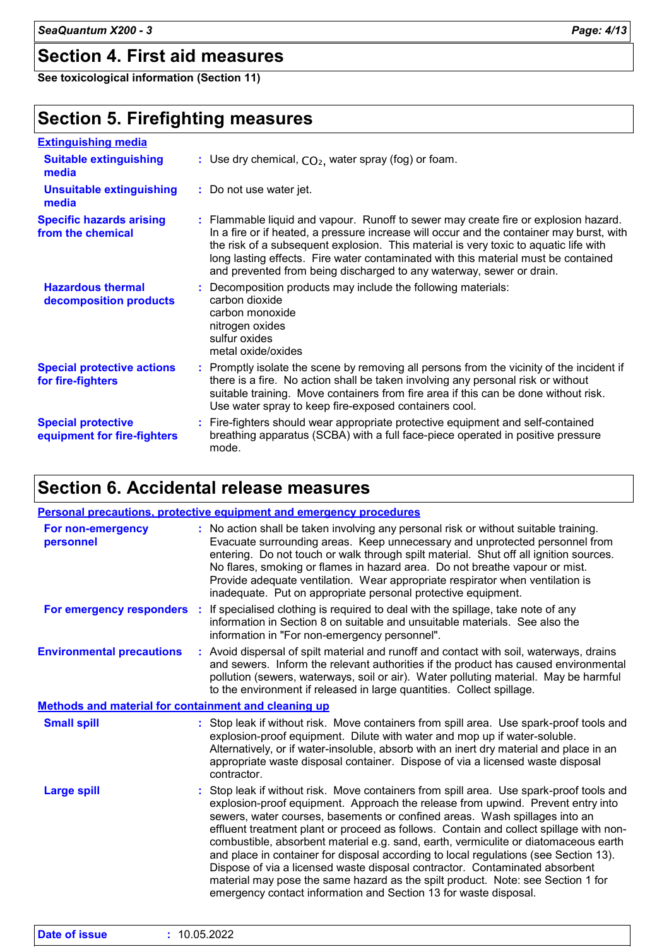# **Section 4. First aid measures**

**See toxicological information (Section 11)**

# **Section 5. Firefighting measures**

| <b>Extinguishing media</b>                               |                                                                                                                                                                                                                                                                                                                                                                                                                                       |
|----------------------------------------------------------|---------------------------------------------------------------------------------------------------------------------------------------------------------------------------------------------------------------------------------------------------------------------------------------------------------------------------------------------------------------------------------------------------------------------------------------|
| <b>Suitable extinguishing</b><br>media                   | : Use dry chemical, $CO2$ , water spray (fog) or foam.                                                                                                                                                                                                                                                                                                                                                                                |
| <b>Unsuitable extinguishing</b><br>media                 | : Do not use water jet.                                                                                                                                                                                                                                                                                                                                                                                                               |
| <b>Specific hazards arising</b><br>from the chemical     | : Flammable liquid and vapour. Runoff to sewer may create fire or explosion hazard.<br>In a fire or if heated, a pressure increase will occur and the container may burst, with<br>the risk of a subsequent explosion. This material is very toxic to aquatic life with<br>long lasting effects. Fire water contaminated with this material must be contained<br>and prevented from being discharged to any waterway, sewer or drain. |
| <b>Hazardous thermal</b><br>decomposition products       | : Decomposition products may include the following materials:<br>carbon dioxide<br>carbon monoxide<br>nitrogen oxides<br>sulfur oxides<br>metal oxide/oxides                                                                                                                                                                                                                                                                          |
| <b>Special protective actions</b><br>for fire-fighters   | : Promptly isolate the scene by removing all persons from the vicinity of the incident if<br>there is a fire. No action shall be taken involving any personal risk or without<br>suitable training. Move containers from fire area if this can be done without risk.<br>Use water spray to keep fire-exposed containers cool.                                                                                                         |
| <b>Special protective</b><br>equipment for fire-fighters | : Fire-fighters should wear appropriate protective equipment and self-contained<br>breathing apparatus (SCBA) with a full face-piece operated in positive pressure<br>mode.                                                                                                                                                                                                                                                           |

# **Section 6. Accidental release measures**

| Personal precautions, protective equipment and emergency procedures |                                                                                                                                                                                                                                                                                                                                                                                                                                                                                                                                                                                                                                                                                                                                                                         |  |  |
|---------------------------------------------------------------------|-------------------------------------------------------------------------------------------------------------------------------------------------------------------------------------------------------------------------------------------------------------------------------------------------------------------------------------------------------------------------------------------------------------------------------------------------------------------------------------------------------------------------------------------------------------------------------------------------------------------------------------------------------------------------------------------------------------------------------------------------------------------------|--|--|
| For non-emergency<br>personnel                                      | : No action shall be taken involving any personal risk or without suitable training.<br>Evacuate surrounding areas. Keep unnecessary and unprotected personnel from<br>entering. Do not touch or walk through spilt material. Shut off all ignition sources.<br>No flares, smoking or flames in hazard area. Do not breathe vapour or mist.<br>Provide adequate ventilation. Wear appropriate respirator when ventilation is<br>inadequate. Put on appropriate personal protective equipment.                                                                                                                                                                                                                                                                           |  |  |
| <b>For emergency responders :</b>                                   | If specialised clothing is required to deal with the spillage, take note of any<br>information in Section 8 on suitable and unsuitable materials. See also the<br>information in "For non-emergency personnel".                                                                                                                                                                                                                                                                                                                                                                                                                                                                                                                                                         |  |  |
| <b>Environmental precautions</b>                                    | : Avoid dispersal of spilt material and runoff and contact with soil, waterways, drains<br>and sewers. Inform the relevant authorities if the product has caused environmental<br>pollution (sewers, waterways, soil or air). Water polluting material. May be harmful<br>to the environment if released in large quantities. Collect spillage.                                                                                                                                                                                                                                                                                                                                                                                                                         |  |  |
| Methods and material for containment and cleaning up                |                                                                                                                                                                                                                                                                                                                                                                                                                                                                                                                                                                                                                                                                                                                                                                         |  |  |
| <b>Small spill</b>                                                  | : Stop leak if without risk. Move containers from spill area. Use spark-proof tools and<br>explosion-proof equipment. Dilute with water and mop up if water-soluble.<br>Alternatively, or if water-insoluble, absorb with an inert dry material and place in an<br>appropriate waste disposal container. Dispose of via a licensed waste disposal<br>contractor.                                                                                                                                                                                                                                                                                                                                                                                                        |  |  |
| <b>Large spill</b>                                                  | : Stop leak if without risk. Move containers from spill area. Use spark-proof tools and<br>explosion-proof equipment. Approach the release from upwind. Prevent entry into<br>sewers, water courses, basements or confined areas. Wash spillages into an<br>effluent treatment plant or proceed as follows. Contain and collect spillage with non-<br>combustible, absorbent material e.g. sand, earth, vermiculite or diatomaceous earth<br>and place in container for disposal according to local regulations (see Section 13).<br>Dispose of via a licensed waste disposal contractor. Contaminated absorbent<br>material may pose the same hazard as the spilt product. Note: see Section 1 for<br>emergency contact information and Section 13 for waste disposal. |  |  |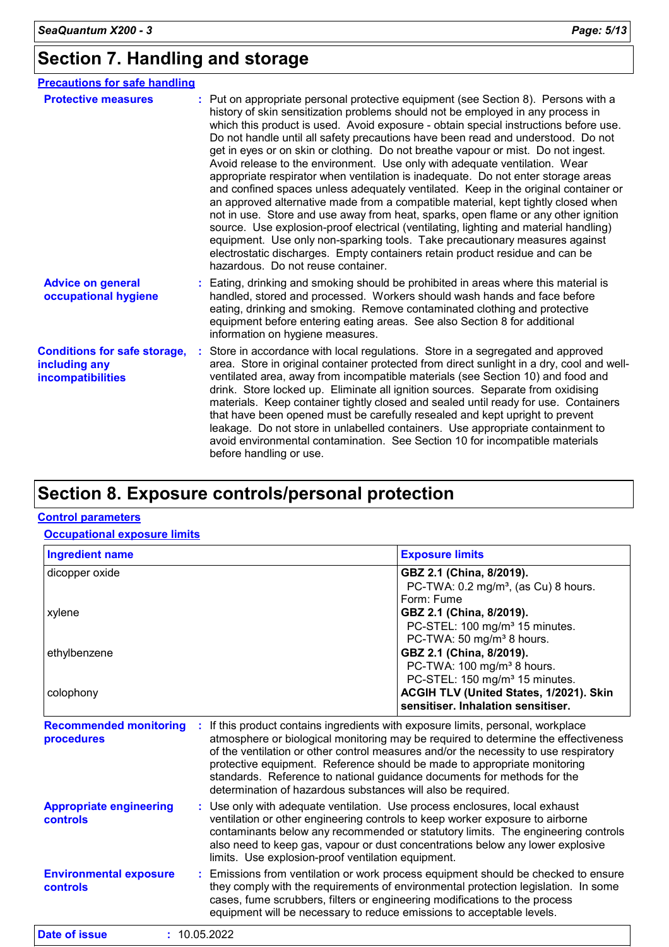# **Section 7. Handling and storage**

| <b>Precautions for safe handling</b>                                      |                                                                                                                                                                                                                                                                                                                                                                                                                                                                                                                                                                                                                                                                                                                                                                                                                                                                                                                                                                                                                                                                                                                                                                          |
|---------------------------------------------------------------------------|--------------------------------------------------------------------------------------------------------------------------------------------------------------------------------------------------------------------------------------------------------------------------------------------------------------------------------------------------------------------------------------------------------------------------------------------------------------------------------------------------------------------------------------------------------------------------------------------------------------------------------------------------------------------------------------------------------------------------------------------------------------------------------------------------------------------------------------------------------------------------------------------------------------------------------------------------------------------------------------------------------------------------------------------------------------------------------------------------------------------------------------------------------------------------|
| <b>Protective measures</b>                                                | : Put on appropriate personal protective equipment (see Section 8). Persons with a<br>history of skin sensitization problems should not be employed in any process in<br>which this product is used. Avoid exposure - obtain special instructions before use.<br>Do not handle until all safety precautions have been read and understood. Do not<br>get in eyes or on skin or clothing. Do not breathe vapour or mist. Do not ingest.<br>Avoid release to the environment. Use only with adequate ventilation. Wear<br>appropriate respirator when ventilation is inadequate. Do not enter storage areas<br>and confined spaces unless adequately ventilated. Keep in the original container or<br>an approved alternative made from a compatible material, kept tightly closed when<br>not in use. Store and use away from heat, sparks, open flame or any other ignition<br>source. Use explosion-proof electrical (ventilating, lighting and material handling)<br>equipment. Use only non-sparking tools. Take precautionary measures against<br>electrostatic discharges. Empty containers retain product residue and can be<br>hazardous. Do not reuse container. |
| <b>Advice on general</b><br>occupational hygiene                          | : Eating, drinking and smoking should be prohibited in areas where this material is<br>handled, stored and processed. Workers should wash hands and face before<br>eating, drinking and smoking. Remove contaminated clothing and protective<br>equipment before entering eating areas. See also Section 8 for additional<br>information on hygiene measures.                                                                                                                                                                                                                                                                                                                                                                                                                                                                                                                                                                                                                                                                                                                                                                                                            |
| <b>Conditions for safe storage,</b><br>including any<br>incompatibilities | Store in accordance with local regulations. Store in a segregated and approved<br>area. Store in original container protected from direct sunlight in a dry, cool and well-<br>ventilated area, away from incompatible materials (see Section 10) and food and<br>drink. Store locked up. Eliminate all ignition sources. Separate from oxidising<br>materials. Keep container tightly closed and sealed until ready for use. Containers<br>that have been opened must be carefully resealed and kept upright to prevent<br>leakage. Do not store in unlabelled containers. Use appropriate containment to<br>avoid environmental contamination. See Section 10 for incompatible materials<br>before handling or use.                                                                                                                                                                                                                                                                                                                                                                                                                                                    |

# **Section 8. Exposure controls/personal protection**

#### **Control parameters**

#### **Occupational exposure limits**

| <b>Ingredient name</b>                      |                                                                                                                                                                                                                                                                                                                                                                                                                                                                                     | <b>Exposure limits</b>                                                                                                                                                   |
|---------------------------------------------|-------------------------------------------------------------------------------------------------------------------------------------------------------------------------------------------------------------------------------------------------------------------------------------------------------------------------------------------------------------------------------------------------------------------------------------------------------------------------------------|--------------------------------------------------------------------------------------------------------------------------------------------------------------------------|
| dicopper oxide                              |                                                                                                                                                                                                                                                                                                                                                                                                                                                                                     | GBZ 2.1 (China, 8/2019).<br>PC-TWA: 0.2 mg/m <sup>3</sup> , (as Cu) 8 hours.<br>Form: Fume                                                                               |
| xylene                                      |                                                                                                                                                                                                                                                                                                                                                                                                                                                                                     | GBZ 2.1 (China, 8/2019).<br>PC-STEL: 100 mg/m <sup>3</sup> 15 minutes.<br>PC-TWA: 50 mg/m <sup>3</sup> 8 hours.                                                          |
| ethylbenzene                                |                                                                                                                                                                                                                                                                                                                                                                                                                                                                                     | GBZ 2.1 (China, 8/2019).<br>PC-TWA: 100 mg/m <sup>3</sup> 8 hours.<br>PC-STEL: 150 mg/m <sup>3</sup> 15 minutes.                                                         |
| colophony                                   |                                                                                                                                                                                                                                                                                                                                                                                                                                                                                     | ACGIH TLV (United States, 1/2021). Skin<br>sensitiser. Inhalation sensitiser.                                                                                            |
| <b>Recommended monitoring</b><br>procedures | If this product contains ingredients with exposure limits, personal, workplace<br>atmosphere or biological monitoring may be required to determine the effectiveness<br>of the ventilation or other control measures and/or the necessity to use respiratory<br>protective equipment. Reference should be made to appropriate monitoring<br>standards. Reference to national guidance documents for methods for the<br>determination of hazardous substances will also be required. |                                                                                                                                                                          |
| <b>Appropriate engineering</b><br>controls  | : Use only with adequate ventilation. Use process enclosures, local exhaust<br>ventilation or other engineering controls to keep worker exposure to airborne<br>contaminants below any recommended or statutory limits. The engineering controls<br>also need to keep gas, vapour or dust concentrations below any lower explosive<br>limits. Use explosion-proof ventilation equipment.                                                                                            |                                                                                                                                                                          |
| <b>Environmental exposure</b><br>controls   | cases, fume scrubbers, filters or engineering modifications to the process                                                                                                                                                                                                                                                                                                                                                                                                          | : Emissions from ventilation or work process equipment should be checked to ensure<br>they comply with the requirements of environmental protection legislation. In some |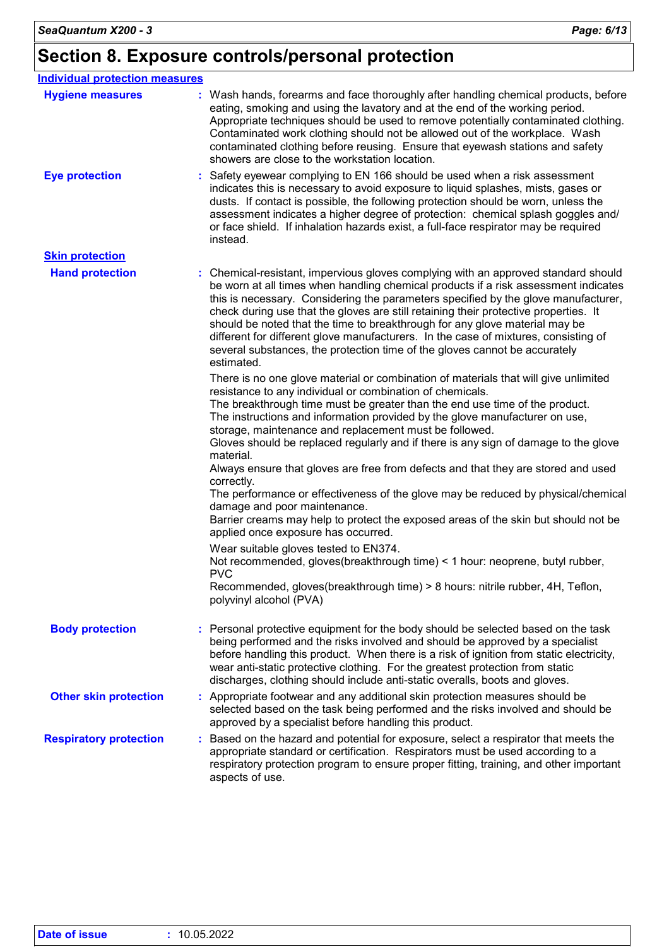# **Section 8. Exposure controls/personal protection**

| <b>Individual protection measures</b> |                                                                                                                                                                                                                                                                                                                                                                                                                                                                                                                                                                                                                                                                                                                                                                                                                                                                                                                                                                                                                                                           |
|---------------------------------------|-----------------------------------------------------------------------------------------------------------------------------------------------------------------------------------------------------------------------------------------------------------------------------------------------------------------------------------------------------------------------------------------------------------------------------------------------------------------------------------------------------------------------------------------------------------------------------------------------------------------------------------------------------------------------------------------------------------------------------------------------------------------------------------------------------------------------------------------------------------------------------------------------------------------------------------------------------------------------------------------------------------------------------------------------------------|
| <b>Hygiene measures</b>               | : Wash hands, forearms and face thoroughly after handling chemical products, before<br>eating, smoking and using the lavatory and at the end of the working period.<br>Appropriate techniques should be used to remove potentially contaminated clothing.<br>Contaminated work clothing should not be allowed out of the workplace. Wash<br>contaminated clothing before reusing. Ensure that eyewash stations and safety<br>showers are close to the workstation location.                                                                                                                                                                                                                                                                                                                                                                                                                                                                                                                                                                               |
| <b>Eye protection</b>                 | Safety eyewear complying to EN 166 should be used when a risk assessment<br>indicates this is necessary to avoid exposure to liquid splashes, mists, gases or<br>dusts. If contact is possible, the following protection should be worn, unless the<br>assessment indicates a higher degree of protection: chemical splash goggles and/<br>or face shield. If inhalation hazards exist, a full-face respirator may be required<br>instead.                                                                                                                                                                                                                                                                                                                                                                                                                                                                                                                                                                                                                |
| <b>Skin protection</b>                |                                                                                                                                                                                                                                                                                                                                                                                                                                                                                                                                                                                                                                                                                                                                                                                                                                                                                                                                                                                                                                                           |
| <b>Hand protection</b>                | : Chemical-resistant, impervious gloves complying with an approved standard should<br>be worn at all times when handling chemical products if a risk assessment indicates<br>this is necessary. Considering the parameters specified by the glove manufacturer,<br>check during use that the gloves are still retaining their protective properties. It<br>should be noted that the time to breakthrough for any glove material may be<br>different for different glove manufacturers. In the case of mixtures, consisting of<br>several substances, the protection time of the gloves cannot be accurately<br>estimated.                                                                                                                                                                                                                                                                                                                                                                                                                                 |
|                                       | There is no one glove material or combination of materials that will give unlimited<br>resistance to any individual or combination of chemicals.<br>The breakthrough time must be greater than the end use time of the product.<br>The instructions and information provided by the glove manufacturer on use,<br>storage, maintenance and replacement must be followed.<br>Gloves should be replaced regularly and if there is any sign of damage to the glove<br>material.<br>Always ensure that gloves are free from defects and that they are stored and used<br>correctly.<br>The performance or effectiveness of the glove may be reduced by physical/chemical<br>damage and poor maintenance.<br>Barrier creams may help to protect the exposed areas of the skin but should not be<br>applied once exposure has occurred.<br>Wear suitable gloves tested to EN374.<br>Not recommended, gloves(breakthrough time) < 1 hour: neoprene, butyl rubber,<br><b>PVC</b><br>Recommended, gloves(breakthrough time) > 8 hours: nitrile rubber, 4H, Teflon, |
|                                       | polyvinyl alcohol (PVA)                                                                                                                                                                                                                                                                                                                                                                                                                                                                                                                                                                                                                                                                                                                                                                                                                                                                                                                                                                                                                                   |
| <b>Body protection</b>                | Personal protective equipment for the body should be selected based on the task<br>being performed and the risks involved and should be approved by a specialist<br>before handling this product. When there is a risk of ignition from static electricity,<br>wear anti-static protective clothing. For the greatest protection from static<br>discharges, clothing should include anti-static overalls, boots and gloves.                                                                                                                                                                                                                                                                                                                                                                                                                                                                                                                                                                                                                               |
| <b>Other skin protection</b>          | : Appropriate footwear and any additional skin protection measures should be<br>selected based on the task being performed and the risks involved and should be<br>approved by a specialist before handling this product.                                                                                                                                                                                                                                                                                                                                                                                                                                                                                                                                                                                                                                                                                                                                                                                                                                 |
| <b>Respiratory protection</b>         | : Based on the hazard and potential for exposure, select a respirator that meets the<br>appropriate standard or certification. Respirators must be used according to a<br>respiratory protection program to ensure proper fitting, training, and other important<br>aspects of use.                                                                                                                                                                                                                                                                                                                                                                                                                                                                                                                                                                                                                                                                                                                                                                       |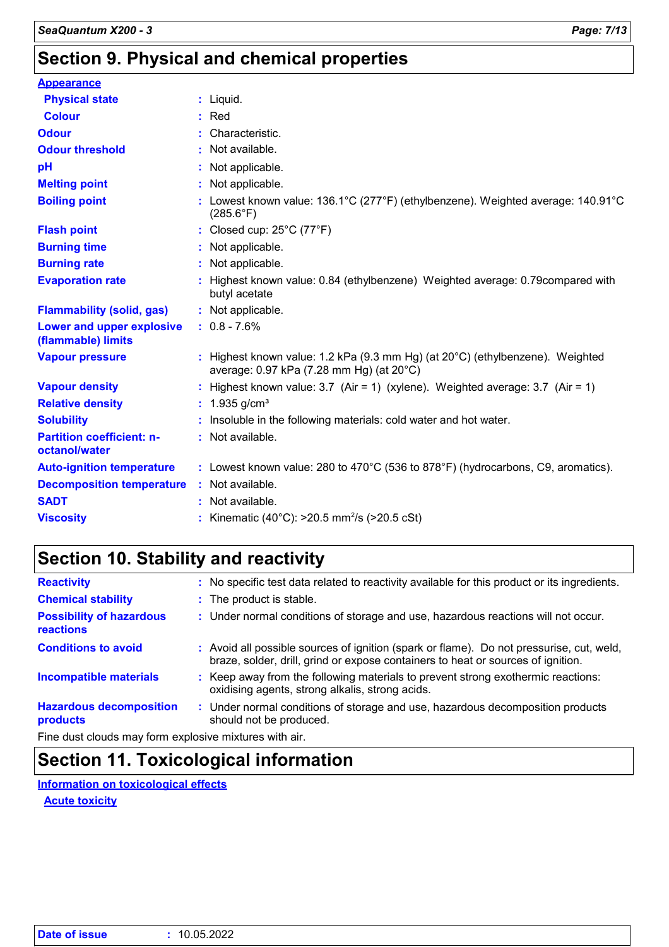# **Section 9. Physical and chemical properties**

| <b>Appearance</b>                                 |                                                                                                                                     |
|---------------------------------------------------|-------------------------------------------------------------------------------------------------------------------------------------|
| <b>Physical state</b>                             | $:$ Liquid.                                                                                                                         |
| <b>Colour</b>                                     | $:$ Red                                                                                                                             |
| <b>Odour</b>                                      | : Characteristic.                                                                                                                   |
| <b>Odour threshold</b>                            | : Not available.                                                                                                                    |
| pH                                                | : Not applicable.                                                                                                                   |
| <b>Melting point</b>                              | : Not applicable.                                                                                                                   |
| <b>Boiling point</b>                              | : Lowest known value: 136.1°C (277°F) (ethylbenzene). Weighted average: 140.91°C<br>$(285.6^{\circ}F)$                              |
| <b>Flash point</b>                                | : Closed cup: $25^{\circ}$ C (77 $^{\circ}$ F)                                                                                      |
| <b>Burning time</b>                               | : Not applicable.                                                                                                                   |
| <b>Burning rate</b>                               | : Not applicable.                                                                                                                   |
| <b>Evaporation rate</b>                           | : Highest known value: 0.84 (ethylbenzene) Weighted average: 0.79 compared with<br>butyl acetate                                    |
| <b>Flammability (solid, gas)</b>                  | : Not applicable.                                                                                                                   |
| Lower and upper explosive<br>(flammable) limits   | $: 0.8 - 7.6\%$                                                                                                                     |
| <b>Vapour pressure</b>                            | : Highest known value: 1.2 kPa (9.3 mm Hg) (at $20^{\circ}$ C) (ethylbenzene). Weighted<br>average: 0.97 kPa (7.28 mm Hg) (at 20°C) |
| <b>Vapour density</b>                             | : Highest known value: $3.7$ (Air = 1) (xylene). Weighted average: $3.7$ (Air = 1)                                                  |
| <b>Relative density</b>                           | : $1.935$ g/cm <sup>3</sup>                                                                                                         |
| <b>Solubility</b>                                 | : Insoluble in the following materials: cold water and hot water.                                                                   |
| <b>Partition coefficient: n-</b><br>octanol/water | : Not available.                                                                                                                    |
| <b>Auto-ignition temperature</b>                  | : Lowest known value: 280 to 470 $^{\circ}$ C (536 to 878 $^{\circ}$ F) (hydrocarbons, C9, aromatics).                              |
| <b>Decomposition temperature</b>                  | : Not available.                                                                                                                    |
| <b>SADT</b>                                       | : Not available.                                                                                                                    |
| <b>Viscosity</b>                                  | : Kinematic (40°C): $>20.5$ mm <sup>2</sup> /s ( $>20.5$ cSt)                                                                       |

# **Section 10. Stability and reactivity**

| <b>Reactivity</b>                                     | : No specific test data related to reactivity available for this product or its ingredients.                                                                                 |
|-------------------------------------------------------|------------------------------------------------------------------------------------------------------------------------------------------------------------------------------|
| <b>Chemical stability</b>                             | : The product is stable.                                                                                                                                                     |
| <b>Possibility of hazardous</b><br>reactions          | : Under normal conditions of storage and use, hazardous reactions will not occur.                                                                                            |
| <b>Conditions to avoid</b>                            | : Avoid all possible sources of ignition (spark or flame). Do not pressurise, cut, weld,<br>braze, solder, drill, grind or expose containers to heat or sources of ignition. |
| <b>Incompatible materials</b>                         | : Keep away from the following materials to prevent strong exothermic reactions:<br>oxidising agents, strong alkalis, strong acids.                                          |
| <b>Hazardous decomposition</b><br>products            | : Under normal conditions of storage and use, hazardous decomposition products<br>should not be produced.                                                                    |
| Fine dust clouds may form evalorive mixtures with air |                                                                                                                                                                              |

Fine dust clouds may form explosive mixtures with air.

# **Section 11. Toxicological information**

**Information on toxicological effects**

**Acute toxicity**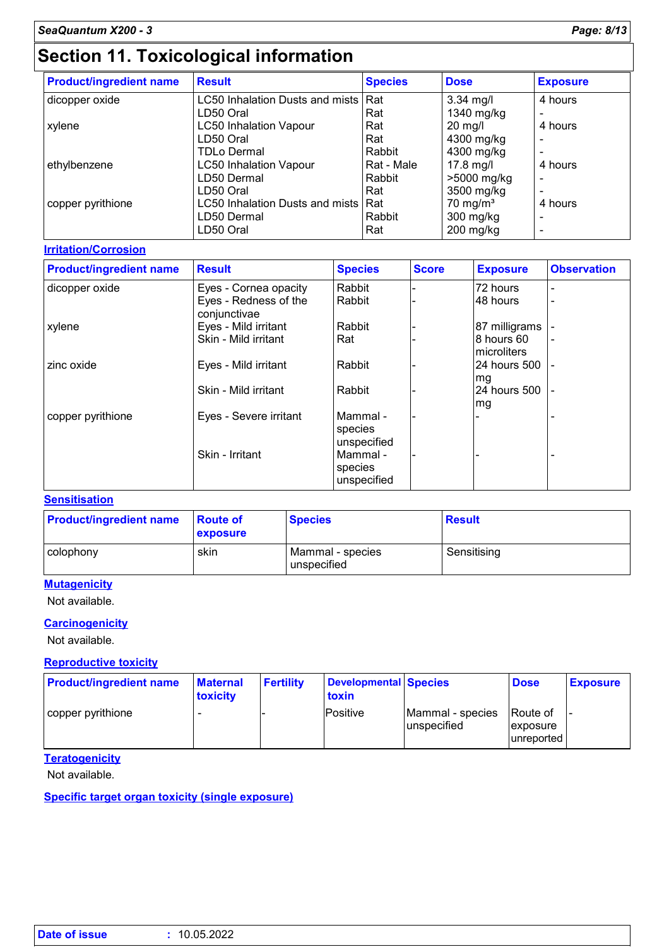# **Section 11. Toxicological information**

| <b>Product/ingredient name</b> | <b>Result</b>                   | <b>Species</b> | <b>Dose</b>          | <b>Exposure</b>          |
|--------------------------------|---------------------------------|----------------|----------------------|--------------------------|
| dicopper oxide                 | LC50 Inhalation Dusts and mists | <b>Rat</b>     | $3.34$ mg/l          | 4 hours                  |
|                                | LD50 Oral                       | Rat            | 1340 mg/kg           |                          |
| xylene                         | <b>LC50 Inhalation Vapour</b>   | Rat            | $20$ mg/l            | 4 hours                  |
|                                | LD50 Oral                       | Rat            | 4300 mg/kg           |                          |
|                                | <b>TDLo Dermal</b>              | Rabbit         | 4300 mg/kg           |                          |
| ethylbenzene                   | <b>LC50 Inhalation Vapour</b>   | Rat - Male     | $17.8$ mg/l          | 4 hours                  |
|                                | LD50 Dermal                     | Rabbit         | >5000 mg/kg          | $\overline{\phantom{0}}$ |
|                                | LD50 Oral                       | Rat            | 3500 mg/kg           |                          |
| copper pyrithione              | LC50 Inhalation Dusts and mists | <b>Rat</b>     | 70 mg/m <sup>3</sup> | 4 hours                  |
|                                | LD50 Dermal                     | Rabbit         | 300 mg/kg            |                          |
|                                | LD50 Oral                       | Rat            | $200$ mg/kg          |                          |

#### **Irritation/Corrosion**

| <b>Product/ingredient name</b> | <b>Result</b>                         | <b>Species</b>                     | <b>Score</b> | <b>Exposure</b>           | <b>Observation</b> |
|--------------------------------|---------------------------------------|------------------------------------|--------------|---------------------------|--------------------|
| dicopper oxide                 | Eyes - Cornea opacity                 | Rabbit                             |              | 72 hours                  |                    |
|                                | Eyes - Redness of the<br>conjunctivae | Rabbit                             |              | 48 hours                  |                    |
| xylene                         | Eyes - Mild irritant                  | Rabbit                             |              | 87 milligrams             |                    |
|                                | Skin - Mild irritant                  | Rat                                |              | 8 hours 60<br>microliters |                    |
| zinc oxide                     | Eyes - Mild irritant                  | Rabbit                             |              | 24 hours 500<br>mg        |                    |
|                                | Skin - Mild irritant                  | Rabbit                             |              | 24 hours 500<br>mg        |                    |
| copper pyrithione              | Eyes - Severe irritant                | Mammal -<br>species<br>unspecified |              |                           |                    |
|                                | Skin - Irritant                       | Mammal -<br>species<br>unspecified |              |                           |                    |

#### **Sensitisation**

| <b>Product/ingredient name</b> | <b>Route of</b><br><b>exposure</b> | <b>Species</b>                  | <b>Result</b> |
|--------------------------------|------------------------------------|---------------------------------|---------------|
| colophony                      | skin                               | Mammal - species<br>unspecified | Sensitising   |

#### **Mutagenicity**

Not available.

#### **Carcinogenicity**

Not available.

#### **Reproductive toxicity**

| <b>Product/ingredient name</b> | <b>Maternal</b><br>toxicity | <b>Fertility</b> | Developmental Species<br>toxin |                                 | <b>Dose</b>                         | <b>Exposure</b> |
|--------------------------------|-----------------------------|------------------|--------------------------------|---------------------------------|-------------------------------------|-----------------|
| copper pyrithione              |                             |                  | Positive                       | Mammal - species<br>unspecified | Route of<br>exposure<br>lunreported |                 |

#### **Teratogenicity**

Not available.

**Specific target organ toxicity (single exposure)**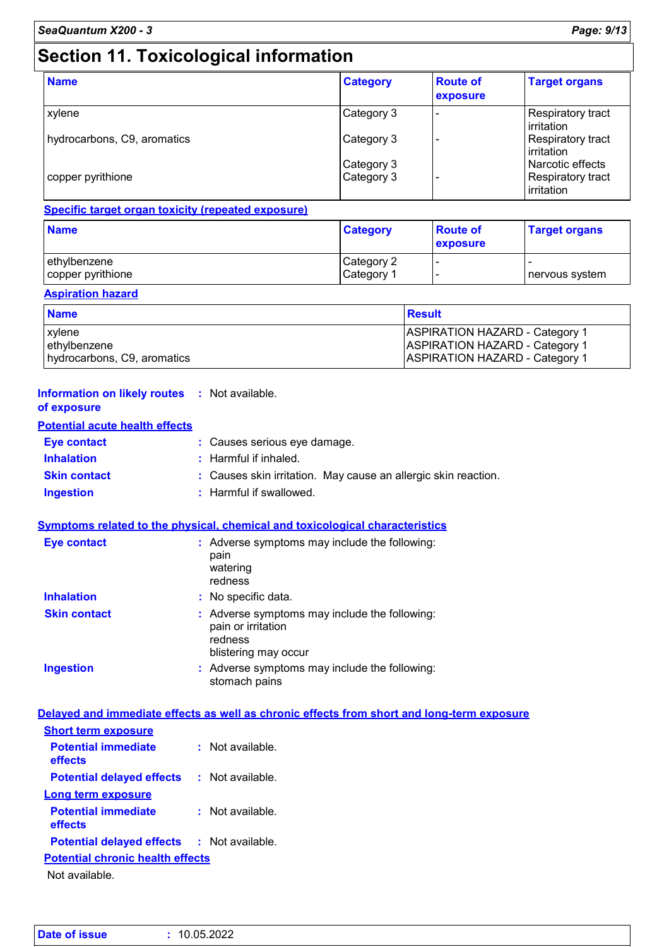# **Section 11. Toxicological information**

| <b>Name</b>                 | <b>Category</b> | <b>Route of</b><br>exposure | <b>Target organs</b>                   |
|-----------------------------|-----------------|-----------------------------|----------------------------------------|
| xylene                      | Category 3      |                             | Respiratory tract<br>irritation        |
| hydrocarbons, C9, aromatics | Category 3      |                             | <b>Respiratory tract</b><br>irritation |
|                             | Category 3      |                             | Narcotic effects                       |
| copper pyrithione           | Category 3      |                             | <b>Respiratory tract</b><br>irritation |

#### **Specific target organ toxicity (repeated exposure)**

| <b>Name</b>                       | <b>Category</b>          | <b>Route of</b><br><b>exposure</b> | <b>Target organs</b> |  |
|-----------------------------------|--------------------------|------------------------------------|----------------------|--|
| ethylbenzene<br>copper pyrithione | Category 2<br>Category 1 | . .                                | I nervous system     |  |

#### **Aspiration hazard**

| <b>Name</b>                 | <b>Result</b>                         |
|-----------------------------|---------------------------------------|
| xylene                      | <b>ASPIRATION HAZARD - Category 1</b> |
| lethylbenzene               | <b>ASPIRATION HAZARD - Category 1</b> |
| hydrocarbons, C9, aromatics | <b>ASPIRATION HAZARD - Category 1</b> |

#### **Information on likely routes :** Not available. **of exposure**

#### **Potential acute health effects**

| <b>Eve contact</b>  | : Causes serious eye damage.                                   |
|---------------------|----------------------------------------------------------------|
| <b>Inhalation</b>   | : Harmful if inhaled.                                          |
| <b>Skin contact</b> | : Causes skin irritation. May cause an allergic skin reaction. |
| Ingestion           | : Harmful if swallowed.                                        |

#### **Symptoms related to the physical, chemical and toxicological characteristics**

| <b>Eye contact</b>  | : Adverse symptoms may include the following:<br>pain<br>watering<br>redness                           |
|---------------------|--------------------------------------------------------------------------------------------------------|
| <b>Inhalation</b>   | : No specific data.                                                                                    |
| <b>Skin contact</b> | : Adverse symptoms may include the following:<br>pain or irritation<br>redness<br>blistering may occur |
| <b>Ingestion</b>    | : Adverse symptoms may include the following:<br>stomach pains                                         |

#### **Delayed and immediate effects as well as chronic effects from short and long-term exposure Short form exposure**

| <b>OIIUIL LEIIII BADUSUIE</b>                                                                                           |                  |  |  |  |  |
|-------------------------------------------------------------------------------------------------------------------------|------------------|--|--|--|--|
| <b>Potential immediate</b><br>effects                                                                                   | Not available.   |  |  |  |  |
| <b>Potential delayed effects</b>                                                                                        | : Not available. |  |  |  |  |
| Long term exposure                                                                                                      |                  |  |  |  |  |
| <b>Potential immediate</b><br>effects                                                                                   | Not available.   |  |  |  |  |
| <b>Potential delayed effects</b>                                                                                        | : Not available. |  |  |  |  |
| <b>Potential chronic health effects</b>                                                                                 |                  |  |  |  |  |
| <b>Allente Street Plants In the Street Street Street Street Street Street Street Street Street Street Street Street</b> |                  |  |  |  |  |

Not available.

| Date of issue | : 10.05.2022 |
|---------------|--------------|
|               |              |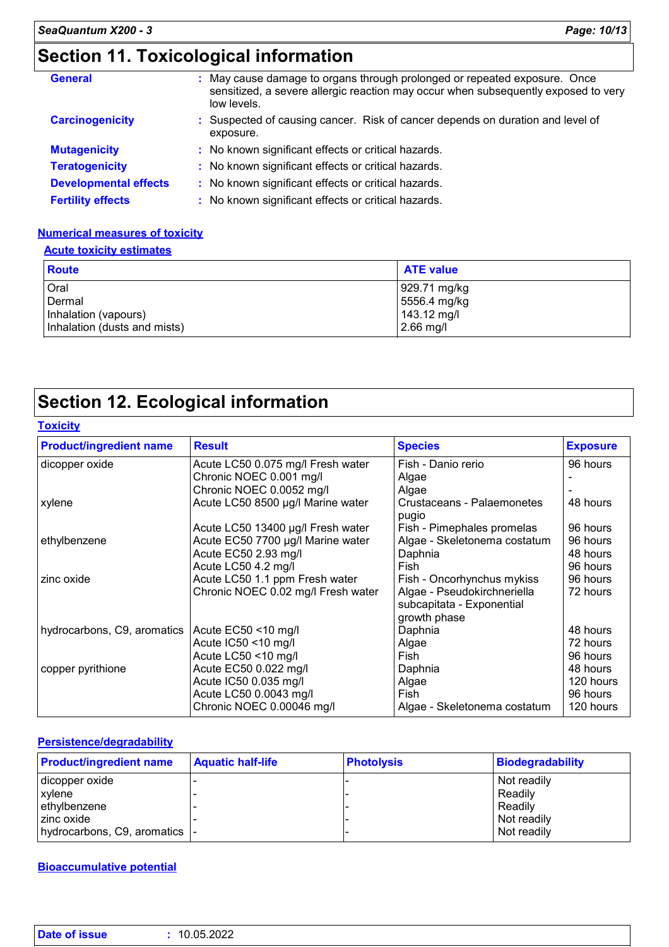# **Section 11. Toxicological information**

| <b>General</b>               | May cause damage to organs through prolonged or repeated exposure. Once<br>sensitized, a severe allergic reaction may occur when subsequently exposed to very<br>low levels. |
|------------------------------|------------------------------------------------------------------------------------------------------------------------------------------------------------------------------|
| <b>Carcinogenicity</b>       | : Suspected of causing cancer. Risk of cancer depends on duration and level of<br>exposure.                                                                                  |
| <b>Mutagenicity</b>          | : No known significant effects or critical hazards.                                                                                                                          |
| <b>Teratogenicity</b>        | : No known significant effects or critical hazards.                                                                                                                          |
| <b>Developmental effects</b> | : No known significant effects or critical hazards.                                                                                                                          |
| <b>Fertility effects</b>     | : No known significant effects or critical hazards.                                                                                                                          |

#### **Numerical measures of toxicity**

#### **Acute toxicity estimates**

| <b>Route</b>                 | <b>ATE value</b> |
|------------------------------|------------------|
| Oral                         | 929.71 mg/kg     |
| Dermal                       | 5556.4 mg/kg     |
| Inhalation (vapours)         | 143.12 mg/l      |
| Inhalation (dusts and mists) | 2.66 mg/l        |

# **Section 12. Ecological information**

#### **Toxicity**

| <b>Product/ingredient name</b> | <b>Result</b>                      | <b>Species</b>                      | <b>Exposure</b> |
|--------------------------------|------------------------------------|-------------------------------------|-----------------|
| dicopper oxide                 | Acute LC50 0.075 mg/l Fresh water  | Fish - Danio rerio                  | 96 hours        |
|                                | Chronic NOEC 0.001 mg/l            | Algae                               |                 |
|                                | Chronic NOEC 0.0052 mg/l           | Algae                               |                 |
| xylene                         | Acute LC50 8500 µg/l Marine water  | Crustaceans - Palaemonetes<br>pugio | 48 hours        |
|                                | Acute LC50 13400 µg/l Fresh water  | Fish - Pimephales promelas          | 96 hours        |
| ethylbenzene                   | Acute EC50 7700 µg/l Marine water  | Algae - Skeletonema costatum        | 96 hours        |
|                                | Acute EC50 2.93 mg/l               | Daphnia                             | 48 hours        |
|                                | Acute LC50 4.2 mg/l                | Fish                                | 96 hours        |
| zinc oxide                     | Acute LC50 1.1 ppm Fresh water     | Fish - Oncorhynchus mykiss          | 96 hours        |
|                                | Chronic NOEC 0.02 mg/l Fresh water | Algae - Pseudokirchneriella         | 72 hours        |
|                                |                                    | subcapitata - Exponential           |                 |
|                                |                                    | growth phase                        |                 |
| hydrocarbons, C9, aromatics    | Acute EC50 <10 mg/l                | Daphnia                             | 48 hours        |
|                                | Acute IC50 <10 mg/l                | Algae                               | 72 hours        |
|                                | Acute LC50 <10 mg/l                | Fish                                | 96 hours        |
| copper pyrithione              | Acute EC50 0.022 mg/l              | Daphnia                             | 48 hours        |
|                                | Acute IC50 0.035 mg/l              | Algae                               | 120 hours       |
|                                | Acute LC50 0.0043 mg/l             | Fish                                | 96 hours        |
|                                | Chronic NOEC 0.00046 mg/l          | Algae - Skeletonema costatum        | 120 hours       |

#### **Persistence/degradability**

| <b>Product/ingredient name</b> | <b>Aquatic half-life</b> | <b>Photolysis</b> | Biodegradability |
|--------------------------------|--------------------------|-------------------|------------------|
| dicopper oxide                 |                          |                   | Not readily      |
| xylene                         |                          |                   | Readily          |
| ethylbenzene                   |                          |                   | Readily          |
| zinc oxide                     |                          |                   | Not readily      |
| hydrocarbons, C9, aromatics  - |                          |                   | Not readily      |

#### **Bioaccumulative potential**

| <b>Date of issue</b><br>10.05.2022 |
|------------------------------------|
|------------------------------------|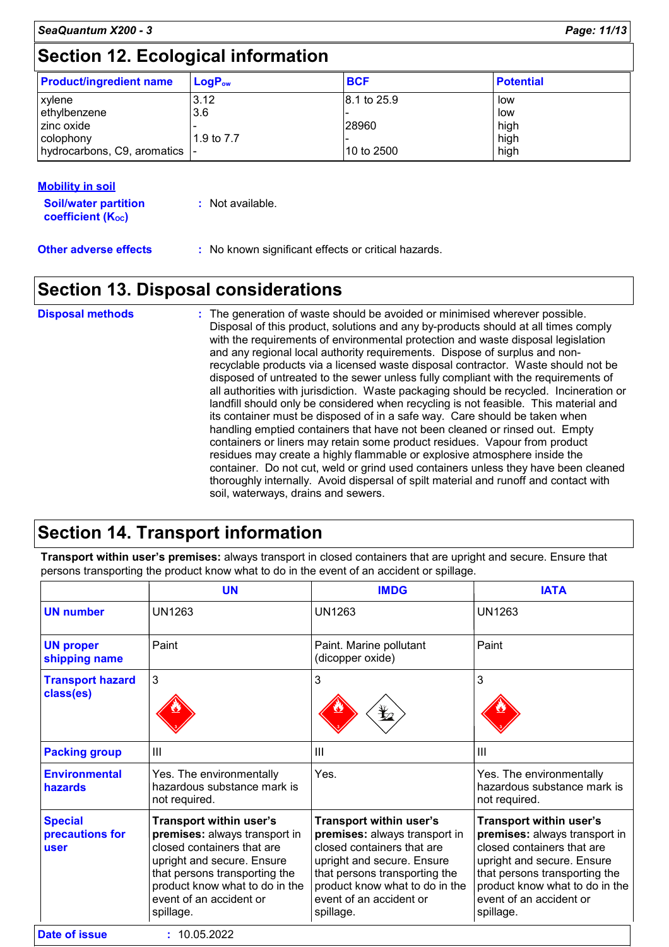# **Section 12. Ecological information**

| <b>Product/ingredient name</b> | $\mathsf{LogP}_\mathsf{ow}$ | <b>BCF</b>  | <b>Potential</b> |
|--------------------------------|-----------------------------|-------------|------------------|
|                                |                             |             |                  |
| xylene                         | 3.12                        | 8.1 to 25.9 | low              |
| ethylbenzene                   | 3.6                         |             | low              |
| I zinc oxide                   |                             | 28960       | high             |
| colophony                      | 1.9 to 7.7                  |             | high             |
| hydrocarbons, C9, aromatics    |                             | 10 to 2500  | high             |

#### **Mobility in soil**

| <b>Soil/water partition</b><br>coefficient (K <sub>oc</sub> ) | : Not available.                                    |
|---------------------------------------------------------------|-----------------------------------------------------|
| <b>Other adverse effects</b>                                  | : No known significant effects or critical hazards. |

# **Section 13. Disposal considerations**

| <b>Disposal methods</b> | : The generation of waste should be avoided or minimised wherever possible.<br>Disposal of this product, solutions and any by-products should at all times comply<br>with the requirements of environmental protection and waste disposal legislation<br>and any regional local authority requirements. Dispose of surplus and non-<br>recyclable products via a licensed waste disposal contractor. Waste should not be<br>disposed of untreated to the sewer unless fully compliant with the requirements of<br>all authorities with jurisdiction. Waste packaging should be recycled. Incineration or<br>landfill should only be considered when recycling is not feasible. This material and<br>its container must be disposed of in a safe way. Care should be taken when<br>handling emptied containers that have not been cleaned or rinsed out. Empty<br>containers or liners may retain some product residues. Vapour from product<br>residues may create a highly flammable or explosive atmosphere inside the<br>container. Do not cut, weld or grind used containers unless they have been cleaned<br>thoroughly internally. Avoid dispersal of spilt material and runoff and contact with |
|-------------------------|--------------------------------------------------------------------------------------------------------------------------------------------------------------------------------------------------------------------------------------------------------------------------------------------------------------------------------------------------------------------------------------------------------------------------------------------------------------------------------------------------------------------------------------------------------------------------------------------------------------------------------------------------------------------------------------------------------------------------------------------------------------------------------------------------------------------------------------------------------------------------------------------------------------------------------------------------------------------------------------------------------------------------------------------------------------------------------------------------------------------------------------------------------------------------------------------------------|
|                         | soil, waterways, drains and sewers.                                                                                                                                                                                                                                                                                                                                                                                                                                                                                                                                                                                                                                                                                                                                                                                                                                                                                                                                                                                                                                                                                                                                                                    |

# **Section 14. Transport information**

**Transport within user's premises:** always transport in closed containers that are upright and secure. Ensure that persons transporting the product know what to do in the event of an accident or spillage.

|                                           | <b>UN</b>                                                                                                                                                                                                                       | <b>IMDG</b>                                                                                                                                                                                                                     | <b>IATA</b>                                                                                                                                                                                                                            |
|-------------------------------------------|---------------------------------------------------------------------------------------------------------------------------------------------------------------------------------------------------------------------------------|---------------------------------------------------------------------------------------------------------------------------------------------------------------------------------------------------------------------------------|----------------------------------------------------------------------------------------------------------------------------------------------------------------------------------------------------------------------------------------|
| <b>UN number</b>                          | UN1263                                                                                                                                                                                                                          | <b>UN1263</b>                                                                                                                                                                                                                   | <b>UN1263</b>                                                                                                                                                                                                                          |
| <b>UN proper</b><br>shipping name         | Paint                                                                                                                                                                                                                           | Paint. Marine pollutant<br>(dicopper oxide)                                                                                                                                                                                     | Paint                                                                                                                                                                                                                                  |
| <b>Transport hazard</b><br>class(es)      | 3                                                                                                                                                                                                                               | 3<br>⊻∠                                                                                                                                                                                                                         | 3                                                                                                                                                                                                                                      |
| <b>Packing group</b>                      | $\mathbf{III}$                                                                                                                                                                                                                  | III                                                                                                                                                                                                                             | III                                                                                                                                                                                                                                    |
| <b>Environmental</b><br>hazards           | Yes. The environmentally<br>hazardous substance mark is<br>not required.                                                                                                                                                        | Yes.                                                                                                                                                                                                                            | Yes. The environmentally<br>hazardous substance mark is<br>not required.                                                                                                                                                               |
| <b>Special</b><br>precautions for<br>user | Transport within user's<br>premises: always transport in<br>closed containers that are<br>upright and secure. Ensure<br>that persons transporting the<br>product know what to do in the<br>event of an accident or<br>spillage. | Transport within user's<br>premises: always transport in<br>closed containers that are<br>upright and secure. Ensure<br>that persons transporting the<br>product know what to do in the<br>event of an accident or<br>spillage. | <b>Transport within user's</b><br>premises: always transport in<br>closed containers that are<br>upright and secure. Ensure<br>that persons transporting the<br>product know what to do in the<br>event of an accident or<br>spillage. |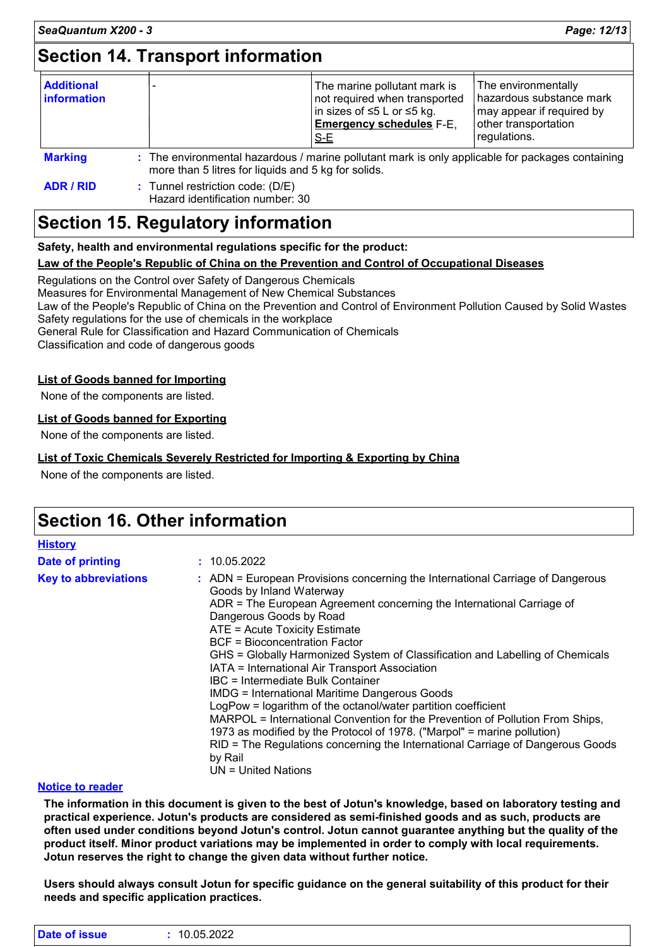# **Section 14. Transport information**

| <b>Additional</b><br><b>information</b> |                                                     | The marine pollutant mark is<br>not required when transported<br> in sizes of ≤5 L or ≤5 kg.<br><b>Emergency schedules F-E,</b><br>$S-E$ | The environmentally<br>hazardous substance mark<br>may appear if required by<br>other transportation<br>regulations. |
|-----------------------------------------|-----------------------------------------------------|------------------------------------------------------------------------------------------------------------------------------------------|----------------------------------------------------------------------------------------------------------------------|
| <b>Marking</b>                          | more than 5 litres for liquids and 5 kg for solids. | : The environmental hazardous / marine pollutant mark is only applicable for packages containing                                         |                                                                                                                      |

**ADR / RID :** Tunnel restriction code: (D/E) Hazard identification number: 30

# **Section 15. Regulatory information**

**Safety, health and environmental regulations specific for the product:**

#### **Law of the People's Republic of China on the Prevention and Control of Occupational Diseases**

Regulations on the Control over Safety of Dangerous Chemicals Measures for Environmental Management of New Chemical Substances Law of the People's Republic of China on the Prevention and Control of Environment Pollution Caused by Solid Wastes Safety regulations for the use of chemicals in the workplace General Rule for Classification and Hazard Communication of Chemicals

Classification and code of dangerous goods

#### **List of Goods banned for Importing**

None of the components are listed.

#### **List of Goods banned for Exporting**

None of the components are listed.

#### **List of Toxic Chemicals Severely Restricted for Importing & Exporting by China**

None of the components are listed.

### **Section 16. Other information**

| <b>History</b>              |                                                                                                                                                                                                                                                                                                                                                                                                                                                                                                                                                                                                                                                                                                                                                                                                                                                                            |
|-----------------------------|----------------------------------------------------------------------------------------------------------------------------------------------------------------------------------------------------------------------------------------------------------------------------------------------------------------------------------------------------------------------------------------------------------------------------------------------------------------------------------------------------------------------------------------------------------------------------------------------------------------------------------------------------------------------------------------------------------------------------------------------------------------------------------------------------------------------------------------------------------------------------|
| Date of printing            | : 10.05.2022                                                                                                                                                                                                                                                                                                                                                                                                                                                                                                                                                                                                                                                                                                                                                                                                                                                               |
| <b>Key to abbreviations</b> | : ADN = European Provisions concerning the International Carriage of Dangerous<br>Goods by Inland Waterway<br>ADR = The European Agreement concerning the International Carriage of<br>Dangerous Goods by Road<br>ATE = Acute Toxicity Estimate<br><b>BCF</b> = Bioconcentration Factor<br>GHS = Globally Harmonized System of Classification and Labelling of Chemicals<br>IATA = International Air Transport Association<br>IBC = Intermediate Bulk Container<br><b>IMDG = International Maritime Dangerous Goods</b><br>LogPow = logarithm of the octanol/water partition coefficient<br>MARPOL = International Convention for the Prevention of Pollution From Ships,<br>1973 as modified by the Protocol of 1978. ("Marpol" = marine pollution)<br>RID = The Regulations concerning the International Carriage of Dangerous Goods<br>by Rail<br>$UN = United Nations$ |

#### **Notice to reader**

**The information in this document is given to the best of Jotun's knowledge, based on laboratory testing and practical experience. Jotun's products are considered as semi-finished goods and as such, products are often used under conditions beyond Jotun's control. Jotun cannot guarantee anything but the quality of the product itself. Minor product variations may be implemented in order to comply with local requirements. Jotun reserves the right to change the given data without further notice.**

**Users should always consult Jotun for specific guidance on the general suitability of this product for their needs and specific application practices.**

| <b>Date</b><br>sue<br>. | 10.05.2022 |
|-------------------------|------------|
|                         |            |